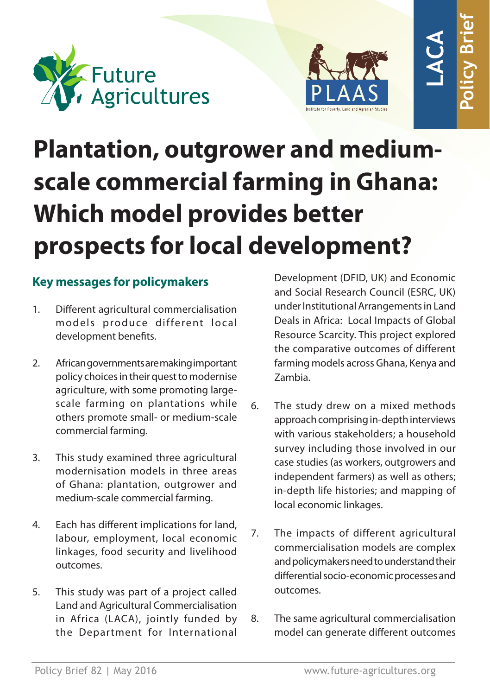



# **Plantation, outgrower and mediumscale commercial farming in Ghana: Which model provides better prospects for local development? PLAAS**<br> **PLAAS**<br> **PLAAS**<br> **PLAAS**<br> **PLAAS**<br> **DETERT:**<br> **PLAAS**<br> **DETERT:**<br> **PLOPMENT?**<br>
Development (DFID, UK) and Economic<br>
and Social Research Council (ESRC, UK)<br>
under Institutional Arrangements in Land<br>
Deals in Afric

# **Key messages for policymakers**

- 1. Different agricultural commercialisation models produce different local development benefits.
- 2. African governments are making important policy choices in their quest to modernise agriculture, with some promoting largescale farming on plantations while others promote small- or medium-scale commercial farming.
- 3. This study examined three agricultural modernisation models in three areas of Ghana: plantation, outgrower and medium-scale commercial farming.
- 4. Each has different implications for land, labour, employment, local economic linkages, food security and livelihood outcomes.
- 5. This study was part of a project called Land and Agricultural Commercialisation in Africa (LACA), jointly funded by the Department for International

Development (DFID, UK) and Economic and Social Research Council (ESRC, UK) under Institutional Arrangements in Land Deals in Africa: Local Impacts of Global Resource Scarcity. This project explored the comparative outcomes of different farming models across Ghana, Kenya and Zambia.

- 6. The study drew on a mixed methods approach comprising in-depth interviews with various stakeholders; a household survey including those involved in our case studies (as workers, outgrowers and independent farmers) as well as others; in-depth life histories; and mapping of local economic linkages.
- 7. The impacts of different agricultural commercialisation models are complex and policymakers need to understand their differential socio-economic processes and outcomes.
- 8. The same agricultural commercialisation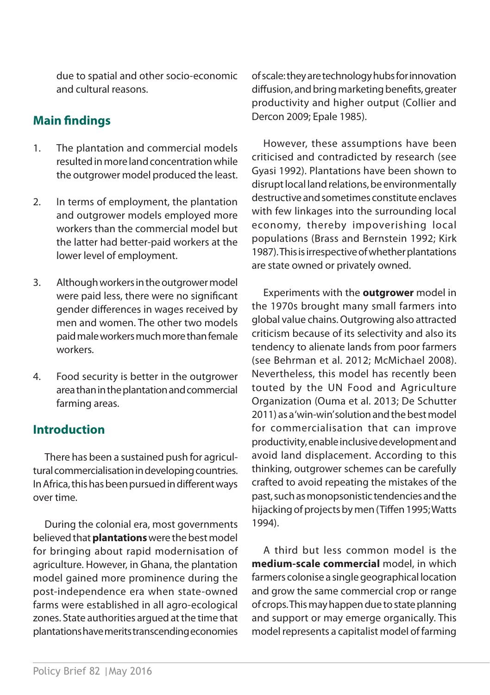due to spatial and other socio-economic and cultural reasons.

# **Main findings**

- 1. The plantation and commercial models resulted in more land concentration while the outgrower model produced the least.
- 2. In terms of employment, the plantation and outgrower models employed more workers than the commercial model but the latter had better-paid workers at the lower level of employment.
- 3. Although workers in the outgrower model were paid less, there were no significant gender differences in wages received by men and women. The other two models paid male workers much more than female workers.
- 4. Food security is better in the outgrower area than in the plantation and commercial farming areas.

# **Introduction**

There has been a sustained push for agricultural commercialisation in developing countries. In Africa, this has been pursued in different ways over time.

During the colonial era, most governments believed that **plantations** were the best model for bringing about rapid modernisation of agriculture. However, in Ghana, the plantation model gained more prominence during the post-independence era when state-owned farms were established in all agro-ecological zones. State authorities argued at the time that plantations have merits transcending economies of scale: they are technology hubs for innovation diffusion, and bring marketing benefits, greater productivity and higher output (Collier and Dercon 2009; Epale 1985).

However, these assumptions have been criticised and contradicted by research (see Gyasi 1992). Plantations have been shown to disrupt local land relations, be environmentally destructive and sometimes constitute enclaves with few linkages into the surrounding local economy, thereby impoverishing local populations (Brass and Bernstein 1992; Kirk 1987). This is irrespective of whether plantations are state owned or privately owned.

Experiments with the **outgrower** model in the 1970s brought many small farmers into global value chains. Outgrowing also attracted criticism because of its selectivity and also its tendency to alienate lands from poor farmers (see Behrman et al. 2012; McMichael 2008). Nevertheless, this model has recently been touted by the UN Food and Agriculture Organization (Ouma et al. 2013; De Schutter 2011) as a 'win-win' solution and the best model for commercialisation that can improve productivity, enable inclusive development and avoid land displacement. According to this thinking, outgrower schemes can be carefully crafted to avoid repeating the mistakes of the past, such as monopsonistic tendencies and the hijacking of projects by men (Tiffen 1995; Watts 1994).

A third but less common model is the **medium-scale commercial** model, in which farmers colonise a single geographical location and grow the same commercial crop or range of crops. This may happen due to state planning and support or may emerge organically. This model represents a capitalist model of farming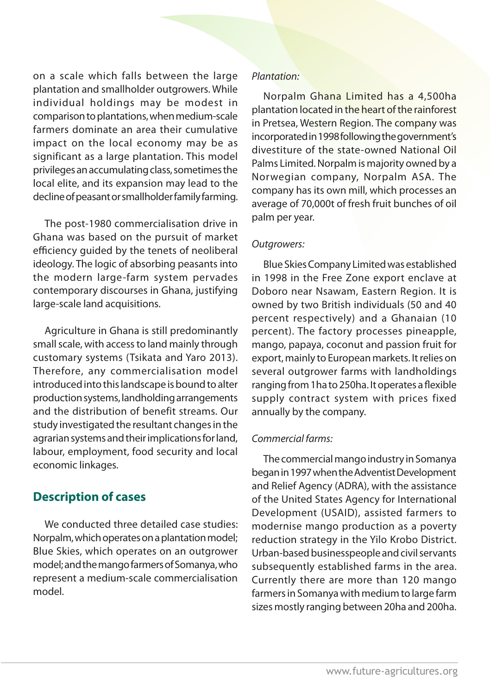on a scale which falls between the large plantation and smallholder outgrowers. While individual holdings may be modest in comparison to plantations, when medium-scale farmers dominate an area their cumulative impact on the local economy may be as significant as a large plantation. This model privileges an accumulating class, sometimes the local elite, and its expansion may lead to the decline of peasant or smallholder family farming.

The post-1980 commercialisation drive in Ghana was based on the pursuit of market efficiency guided by the tenets of neoliberal ideology. The logic of absorbing peasants into the modern large-farm system pervades contemporary discourses in Ghana, justifying large-scale land acquisitions.

Agriculture in Ghana is still predominantly small scale, with access to land mainly through customary systems (Tsikata and Yaro 2013). Therefore, any commercialisation model introduced into this landscape is bound to alter production systems, landholding arrangements and the distribution of benefit streams. Our study investigated the resultant changes in the agrarian systems and their implications for land, labour, employment, food security and local economic linkages.

# **Description of cases**

We conducted three detailed case studies: Norpalm, which operates on a plantation model; Blue Skies, which operates on an outgrower model; and the mango farmers of Somanya, who represent a medium-scale commercialisation model.

### *Plantation:*

Norpalm Ghana Limited has a 4,500ha plantation located in the heart of the rainforest in Pretsea, Western Region. The company was incorporated in 1998 following the government's divestiture of the state-owned National Oil Palms Limited. Norpalm is majority owned by a Norwegian company, Norpalm ASA. The company has its own mill, which processes an average of 70,000t of fresh fruit bunches of oil palm per year.

### *Outgrowers:*

Blue Skies Company Limited was established in 1998 in the Free Zone export enclave at Doboro near Nsawam, Eastern Region. It is owned by two British individuals (50 and 40 percent respectively) and a Ghanaian (10 percent). The factory processes pineapple, mango, papaya, coconut and passion fruit for export, mainly to European markets. It relies on several outgrower farms with landholdings ranging from 1ha to 250ha. It operates a flexible supply contract system with prices fixed annually by the company.

### *Commercial farms:*

The commercial mango industry in Somanya began in 1997 when the Adventist Development and Relief Agency (ADRA), with the assistance of the United States Agency for International Development (USAID), assisted farmers to modernise mango production as a poverty reduction strategy in the Yilo Krobo District. Urban-based businesspeople and civil servants subsequently established farms in the area. Currently there are more than 120 mango farmers in Somanya with medium to large farm sizes mostly ranging between 20ha and 200ha.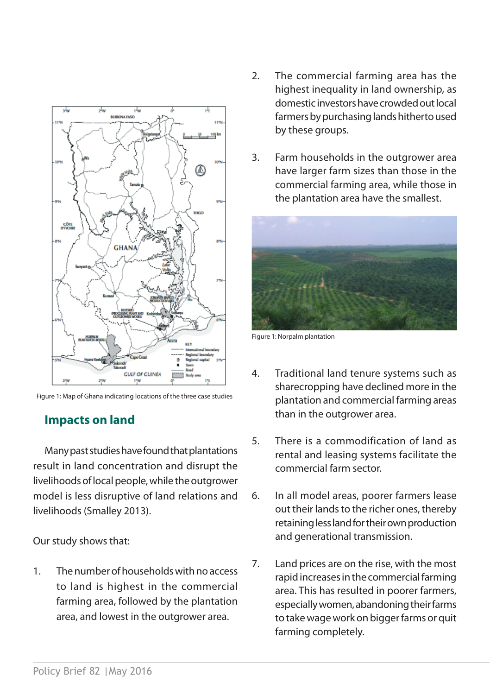

Figure 1: Map of Ghana indicating locations of the three case studies

# **Impacts on land**

Many past studies have found that plantations result in land concentration and disrupt the livelihoods of local people, while the outgrower model is less disruptive of land relations and livelihoods (Smalley 2013).

Our study shows that:

1. The number of households with no access to land is highest in the commercial farming area, followed by the plantation area, and lowest in the outgrower area.

- 2. The commercial farming area has the highest inequality in land ownership, as domestic investors have crowded out local farmers by purchasing lands hitherto used by these groups.
- 3. Farm households in the outgrower area have larger farm sizes than those in the commercial farming area, while those in the plantation area have the smallest.



Figure 1: Norpalm plantation

- 4. Traditional land tenure systems such as sharecropping have declined more in the plantation and commercial farming areas than in the outgrower area.
- 5. There is a commodification of land as rental and leasing systems facilitate the commercial farm sector.
- 6. In all model areas, poorer farmers lease out their lands to the richer ones, thereby retaining less land for their own production and generational transmission.
- 7. Land prices are on the rise, with the most rapid increases in the commercial farming area. This has resulted in poorer farmers, especially women, abandoning their farms to take wage work on bigger farms or quit farming completely.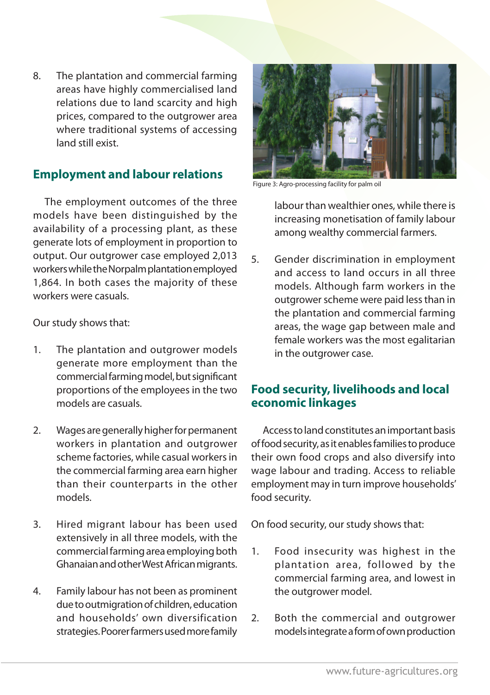8. The plantation and commercial farming areas have highly commercialised land relations due to land scarcity and high prices, compared to the outgrower area where traditional systems of accessing land still exist.

### **Employment and labour relations**

The employment outcomes of the three models have been distinguished by the availability of a processing plant, as these generate lots of employment in proportion to output. Our outgrower case employed 2,013 workers while the Norpalm plantation employed 1,864. In both cases the majority of these workers were casuals.

Our study shows that:

- 1. The plantation and outgrower models generate more employment than the commercial farming model, but significant proportions of the employees in the two models are casuals.
- 2. Wages are generally higher for permanent workers in plantation and outgrower scheme factories, while casual workers in the commercial farming area earn higher than their counterparts in the other models.
- 3. Hired migrant labour has been used extensively in all three models, with the commercial farming area employing both Ghanaian and other West African migrants.
- 4. Family labour has not been as prominent due to outmigration of children, education and households' own diversification strategies. Poorer farmers used more family



Figure 3: Agro-processing facility for palm oil

labour than wealthier ones, while there is increasing monetisation of family labour among wealthy commercial farmers.

5. Gender discrimination in employment and access to land occurs in all three models. Although farm workers in the outgrower scheme were paid less than in the plantation and commercial farming areas, the wage gap between male and female workers was the most egalitarian in the outgrower case.

### **Food security, livelihoods and local economic linkages**

Access to land constitutes an important basis of food security, as it enables families to produce their own food crops and also diversify into wage labour and trading. Access to reliable employment may in turn improve households' food security.

On food security, our study shows that:

- 1. Food insecurity was highest in the plantation area, followed by the commercial farming area, and lowest in the outgrower model.
- 2. Both the commercial and outgrower models integrate a form of own production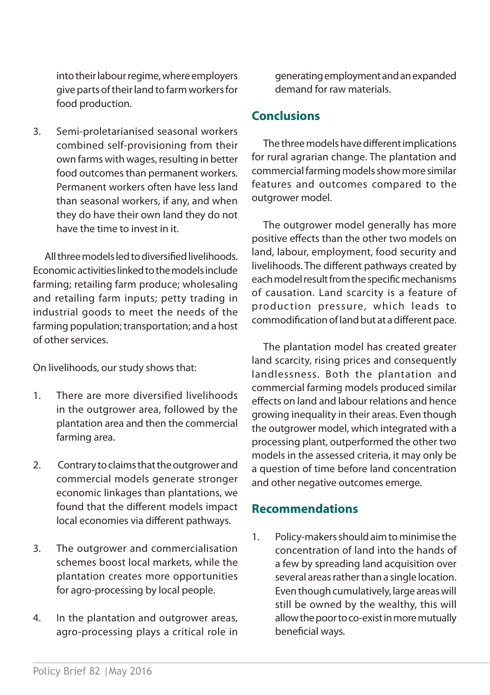into their labour regime, where employers give parts of their land to farm workers for food production.

3. Semi-proletarianised seasonal workers combined self-provisioning from their own farms with wages, resulting in better food outcomes than permanent workers. Permanent workers often have less land than seasonal workers, if any, and when they do have their own land they do not have the time to invest in it.

All three models led to diversified livelihoods. Economic activities linked to the models include farming; retailing farm produce; wholesaling and retailing farm inputs; petty trading in industrial goods to meet the needs of the farming population; transportation; and a host of other services.

On livelihoods, our study shows that:

- 1. There are more diversified livelihoods in the outgrower area, followed by the plantation area and then the commercial farming area.
- 2. Contrary to claims that the outgrower and commercial models generate stronger economic linkages than plantations, we found that the different models impact local economies via different pathways.
- 3. The outgrower and commercialisation schemes boost local markets, while the plantation creates more opportunities for agro-processing by local people.
- 4. In the plantation and outgrower areas, agro-processing plays a critical role in

generating employment and an expanded demand for raw materials.

### **Conclusions**

The three models have different implications for rural agrarian change. The plantation and commercial farming models show more similar features and outcomes compared to the outgrower model.

The outgrower model generally has more positive effects than the other two models on land, labour, employment, food security and livelihoods. The different pathways created by each model result from the specific mechanisms of causation. Land scarcity is a feature of production pressure, which leads to commodification of land but at a different pace.

The plantation model has created greater land scarcity, rising prices and consequently landlessness. Both the plantation and commercial farming models produced similar effects on land and labour relations and hence growing inequality in their areas. Even though the outgrower model, which integrated with a processing plant, outperformed the other two models in the assessed criteria, it may only be a question of time before land concentration and other negative outcomes emerge.

### **Recommendations**

1. Policy-makers should aim to minimise the concentration of land into the hands of a few by spreading land acquisition over several areas rather than a single location. Even though cumulatively, large areas will still be owned by the wealthy, this will allow the poor to co-exist in more mutually beneficial ways.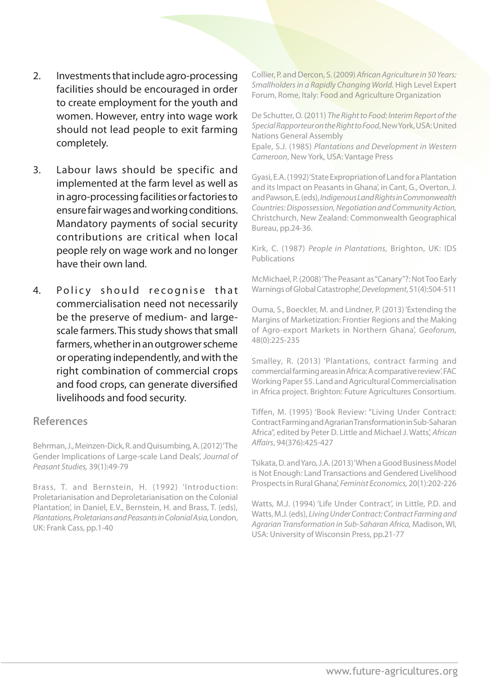- 2. Investments that include agro-processing facilities should be encouraged in order to create employment for the youth and women. However, entry into wage work should not lead people to exit farming completely.
- 3. Labour laws should be specific and implemented at the farm level as well as in agro-processing facilities or factories to ensure fair wages and working conditions. Mandatory payments of social security contributions are critical when local people rely on wage work and no longer have their own land.
- 4. Policy should recognise that commercialisation need not necessarily be the preserve of medium- and largescale farmers. This study shows that small farmers, whether in an outgrower scheme or operating independently, and with the right combination of commercial crops and food crops, can generate diversified livelihoods and food security.

### **References**

Behrman, J., Meinzen-Dick, R. and Quisumbing, A. (2012) 'The Gender Implications of Large-scale Land Deals', *Journal of Peasant Studies,* 39(1):49-79

Brass, T. and Bernstein, H. (1992) 'Introduction: Proletarianisation and Deproletarianisation on the Colonial Plantation', in Daniel, E.V., Bernstein, H. and Brass, T. (eds), *Plantations, Proletarians and Peasants in Colonial Asia,* London, UK: Frank Cass, pp.1-40

Collier, P. and Dercon, S. (2009) *African Agriculture in 50 Years: Smallholders in a Rapidly Changing World.* High Level Expert Forum, Rome, Italy: Food and Agriculture Organization

De Schutter, O. (2011) *The Right to Food: Interim Report of the Special Rapporteur on the Right to Food*, New York, USA: United Nations General Assembly

Epale, S.J. (1985) *Plantations and Development in Western Cameroon*, New York, USA: Vantage Press

Gyasi, E.A. (1992) 'State Expropriation of Land for a Plantation and its Impact on Peasants in Ghana', in Cant, G., Overton, J. and Pawson, E. (eds), *Indigenous Land Rights in Commonwealth Countries: Dispossession, Negotiation and Community Action,*  Christchurch, New Zealand: Commonwealth Geographical Bureau, pp.24-36.

Kirk, C. (1987) *People in Plantations,* Brighton, UK: IDS Publications

McMichael, P. (2008) 'The Peasant as "Canary"?: Not Too Early Warnings of Global Catastrophe', *Development*, 51(4):504-511

Ouma, S., Boeckler, M. and Lindner, P. (2013) 'Extending the Margins of Marketization: Frontier Regions and the Making of Agro-export Markets in Northern Ghana', *Geoforum,*  48(0):225-235

Smalley, R. (2013) 'Plantations, contract farming and commercial farming areas in Africa: A comparative review'. FAC Working Paper 55. Land and Agricultural Commercialisation in Africa project. Brighton: Future Agricultures Consortium.

Tiffen, M. (1995) 'Book Review: "Living Under Contract: Contract Farming and Agrarian Transformation in Sub-Saharan Africa", edited by Peter D. Little and Michael J. Watts', *African Affairs*, 94(376):425-427

Tsikata, D. and Yaro, J.A. (2013) 'When a Good Business Model is Not Enough: Land Transactions and Gendered Livelihood Prospects in Rural Ghana', *Feminist Economics,* 20(1):202-226

Watts, M.J. (1994) 'Life Under Contract', in Little, P.D. and Watts, M.J. (eds), *Living Under Contract: Contract Farming and Agrarian Transformation in Sub-Saharan Africa,* Madison, WI, USA: University of Wisconsin Press, pp.21-77